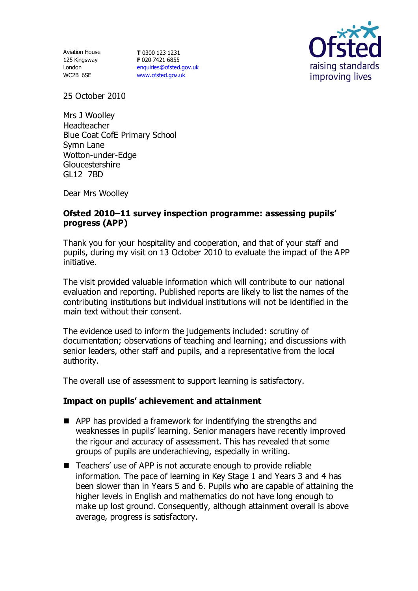Aviation House 125 Kingsway London WC2B 6SE

**T** 0300 123 1231 **F** 020 7421 6855 [enquiries@ofsted.gov.uk](mailto:enquiries@ofsted.gov.uk) [www.ofsted.gov.uk](http://www.ofsted.gov.uk/)



25 October 2010

Mrs J Woolley Headteacher Blue Coat CofE Primary School Symn Lane Wotton-under-Edge **Gloucestershire** GL12 7BD

Dear Mrs Woolley

## **Ofsted 2010–11 survey inspection programme: assessing pupils' progress (APP)**

Thank you for your hospitality and cooperation, and that of your staff and pupils, during my visit on 13 October 2010 to evaluate the impact of the APP initiative.

The visit provided valuable information which will contribute to our national evaluation and reporting. Published reports are likely to list the names of the contributing institutions but individual institutions will not be identified in the main text without their consent.

The evidence used to inform the judgements included: scrutiny of documentation; observations of teaching and learning; and discussions with senior leaders, other staff and pupils, and a representative from the local authority.

The overall use of assessment to support learning is satisfactory.

## **Impact on pupils' achievement and attainment**

- **APP has provided a framework for indentifying the strengths and** weaknesses in pupils' learning. Senior managers have recently improved the rigour and accuracy of assessment. This has revealed that some groups of pupils are underachieving, especially in writing.
- Teachers' use of APP is not accurate enough to provide reliable information. The pace of learning in Key Stage 1 and Years 3 and 4 has been slower than in Years 5 and 6. Pupils who are capable of attaining the higher levels in English and mathematics do not have long enough to make up lost ground. Consequently, although attainment overall is above average, progress is satisfactory.